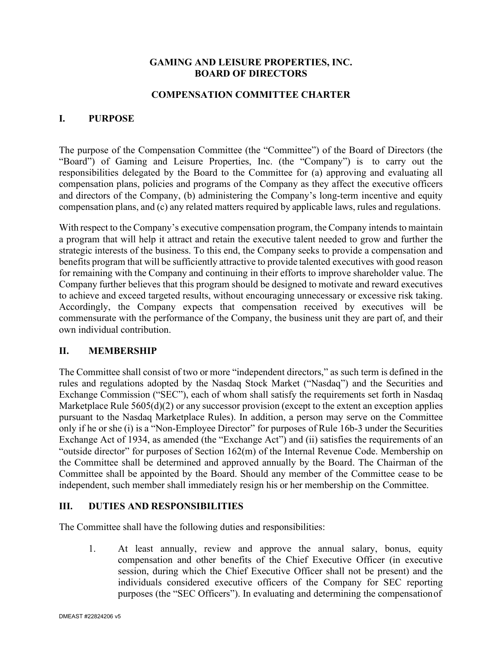## **GAMING AND LEISURE PROPERTIES, INC. BOARD OF DIRECTORS**

## **COMPENSATION COMMITTEE CHARTER**

## **I. PURPOSE**

The purpose of the Compensation Committee (the "Committee") of the Board of Directors (the "Board") of Gaming and Leisure Properties, Inc. (the "Company") is to carry out the responsibilities delegated by the Board to the Committee for (a) approving and evaluating all compensation plans, policies and programs of the Company as they affect the executive officers and directors of the Company, (b) administering the Company's long-term incentive and equity compensation plans, and (c) any related matters required by applicable laws, rules and regulations.

With respect to the Company's executive compensation program, the Company intends to maintain a program that will help it attract and retain the executive talent needed to grow and further the strategic interests of the business. To this end, the Company seeks to provide a compensation and benefits program that will be sufficiently attractive to provide talented executives with good reason for remaining with the Company and continuing in their efforts to improve shareholder value. The Company further believes that this program should be designed to motivate and reward executives to achieve and exceed targeted results, without encouraging unnecessary or excessive risk taking. Accordingly, the Company expects that compensation received by executives will be commensurate with the performance of the Company, the business unit they are part of, and their own individual contribution.

## **II. MEMBERSHIP**

The Committee shall consist of two or more "independent directors," as such term is defined in the rules and regulations adopted by the Nasdaq Stock Market ("Nasdaq") and the Securities and Exchange Commission ("SEC"), each of whom shall satisfy the requirements set forth in Nasdaq Marketplace Rule  $5605(d)(2)$  or any successor provision (except to the extent an exception applies pursuant to the Nasdaq Marketplace Rules). In addition, a person may serve on the Committee only if he or she (i) is a "Non-Employee Director" for purposes of Rule 16b-3 under the Securities Exchange Act of 1934, as amended (the "Exchange Act") and (ii) satisfies the requirements of an "outside director" for purposes of Section 162(m) of the Internal Revenue Code. Membership on the Committee shall be determined and approved annually by the Board. The Chairman of the Committee shall be appointed by the Board. Should any member of the Committee cease to be independent, such member shall immediately resign his or her membership on the Committee.

#### **III. DUTIES AND RESPONSIBILITIES**

The Committee shall have the following duties and responsibilities:

1. At least annually, review and approve the annual salary, bonus, equity compensation and other benefits of the Chief Executive Officer (in executive session, during which the Chief Executive Officer shall not be present) and the individuals considered executive officers of the Company for SEC reporting purposes (the "SEC Officers"). In evaluating and determining the compensationof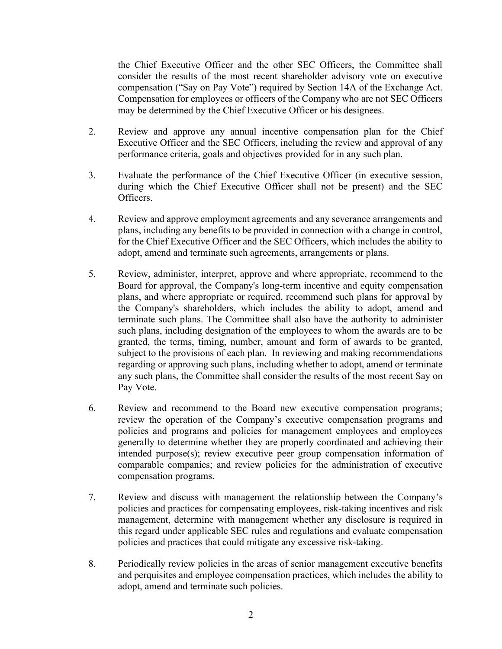the Chief Executive Officer and the other SEC Officers, the Committee shall consider the results of the most recent shareholder advisory vote on executive compensation ("Say on Pay Vote") required by Section 14A of the Exchange Act. Compensation for employees or officers of the Company who are not SEC Officers may be determined by the Chief Executive Officer or his designees.

- 2. Review and approve any annual incentive compensation plan for the Chief Executive Officer and the SEC Officers, including the review and approval of any performance criteria, goals and objectives provided for in any such plan.
- 3. Evaluate the performance of the Chief Executive Officer (in executive session, during which the Chief Executive Officer shall not be present) and the SEC Officers.
- 4. Review and approve employment agreements and any severance arrangements and plans, including any benefits to be provided in connection with a change in control, for the Chief Executive Officer and the SEC Officers, which includes the ability to adopt, amend and terminate such agreements, arrangements or plans.
- 5. Review, administer, interpret, approve and where appropriate, recommend to the Board for approval, the Company's long-term incentive and equity compensation plans, and where appropriate or required, recommend such plans for approval by the Company's shareholders, which includes the ability to adopt, amend and terminate such plans. The Committee shall also have the authority to administer such plans, including designation of the employees to whom the awards are to be granted, the terms, timing, number, amount and form of awards to be granted, subject to the provisions of each plan. In reviewing and making recommendations regarding or approving such plans, including whether to adopt, amend or terminate any such plans, the Committee shall consider the results of the most recent Say on Pay Vote.
- 6. Review and recommend to the Board new executive compensation programs; review the operation of the Company's executive compensation programs and policies and programs and policies for management employees and employees generally to determine whether they are properly coordinated and achieving their intended purpose(s); review executive peer group compensation information of comparable companies; and review policies for the administration of executive compensation programs.
- 7. Review and discuss with management the relationship between the Company's policies and practices for compensating employees, risk-taking incentives and risk management, determine with management whether any disclosure is required in this regard under applicable SEC rules and regulations and evaluate compensation policies and practices that could mitigate any excessive risk-taking.
- 8. Periodically review policies in the areas of senior management executive benefits and perquisites and employee compensation practices, which includes the ability to adopt, amend and terminate such policies.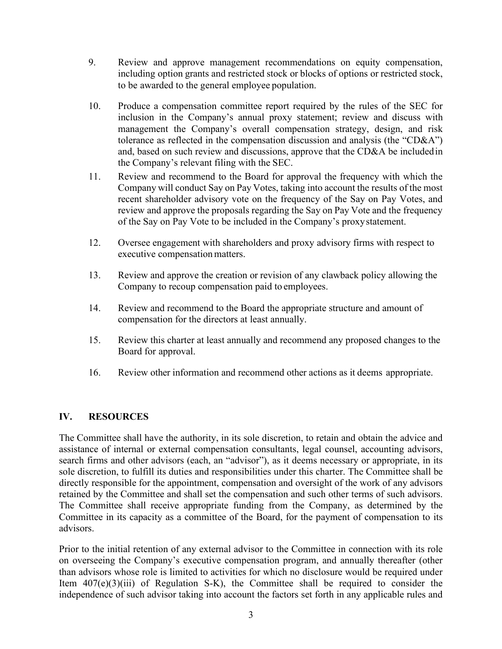- 9. Review and approve management recommendations on equity compensation, including option grants and restricted stock or blocks of options or restricted stock, to be awarded to the general employee population.
- 10. Produce a compensation committee report required by the rules of the SEC for inclusion in the Company's annual proxy statement; review and discuss with management the Company's overall compensation strategy, design, and risk tolerance as reflected in the compensation discussion and analysis (the "CD&A") and, based on such review and discussions, approve that the CD&A be includedin the Company's relevant filing with the SEC.
- 11. Review and recommend to the Board for approval the frequency with which the Company will conduct Say on Pay Votes, taking into account the results of the most recent shareholder advisory vote on the frequency of the Say on Pay Votes, and review and approve the proposals regarding the Say on Pay Vote and the frequency of the Say on Pay Vote to be included in the Company's proxystatement.
- 12. Oversee engagement with shareholders and proxy advisory firms with respect to executive compensation matters.
- 13. Review and approve the creation or revision of any clawback policy allowing the Company to recoup compensation paid to employees.
- 14. Review and recommend to the Board the appropriate structure and amount of compensation for the directors at least annually.
- 15. Review this charter at least annually and recommend any proposed changes to the Board for approval.
- 16. Review other information and recommend other actions as it deems appropriate.

## **IV. RESOURCES**

The Committee shall have the authority, in its sole discretion, to retain and obtain the advice and assistance of internal or external compensation consultants, legal counsel, accounting advisors, search firms and other advisors (each, an "advisor"), as it deems necessary or appropriate, in its sole discretion, to fulfill its duties and responsibilities under this charter. The Committee shall be directly responsible for the appointment, compensation and oversight of the work of any advisors retained by the Committee and shall set the compensation and such other terms of such advisors. The Committee shall receive appropriate funding from the Company, as determined by the Committee in its capacity as a committee of the Board, for the payment of compensation to its advisors.

Prior to the initial retention of any external advisor to the Committee in connection with its role on overseeing the Company's executive compensation program, and annually thereafter (other than advisors whose role is limited to activities for which no disclosure would be required under Item  $407(e)(3)(iii)$  of Regulation S-K), the Committee shall be required to consider the independence of such advisor taking into account the factors set forth in any applicable rules and